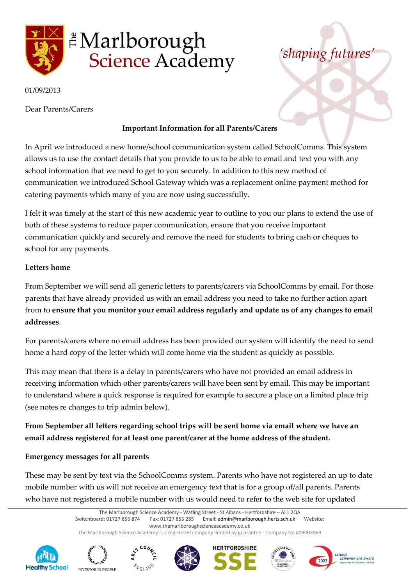

# **A** Marlborough **Science Academy**

### 01/09/2013

Dear Parents/Carers

## **Important Information for all Parents/Carers**

In April we introduced a new home/school communication system called SchoolComms. This system allows us to use the contact details that you provide to us to be able to email and text you with any school information that we need to get to you securely. In addition to this new method of communication we introduced School Gateway which was a replacement online payment method for catering payments which many of you are now using successfully.

I felt it was timely at the start of this new academic year to outline to you our plans to extend the use of both of these systems to reduce paper communication, ensure that you receive important communication quickly and securely and remove the need for students to bring cash or cheques to school for any payments.

## **Letters home**

From September we will send all generic letters to parents/carers via SchoolComms by email. For those parents that have already provided us with an email address you need to take no further action apart from to **ensure that you monitor your email address regularly and update us of any changes to email addresses**.

For parents/carers where no email address has been provided our system will identify the need to send home a hard copy of the letter which will come home via the student as quickly as possible.

This may mean that there is a delay in parents/carers who have not provided an email address in receiving information which other parents/carers will have been sent by email. This may be important to understand where a quick response is required for example to secure a place on a limited place trip (see notes re changes to trip admin below).

# **From September all letters regarding school trips will be sent home via email where we have an email address registered for at least one parent/carer at the home address of the student.**

## **Emergency messages for all parents**

These may be sent by text via the SchoolComms system. Parents who have not registered an up to date mobile number with us will not receive an emergency text that is for a group of/all parents. Parents who have not registered a mobile number with us would need to refer to the web site for updated

> The Marlborough Science Academy - Watling Street - St Albans - Hertfordshire – AL1 2QA Switchboard: 01727 856 874 Fax: 01727 855 285 Email: admin@marlborough.herts.sch.uk Website: www.themarlboroughscienceacademy.co.uk The Marlborough Science Academy is a registered company limited by guarantee - Company No #08003969















*'shaping futures'*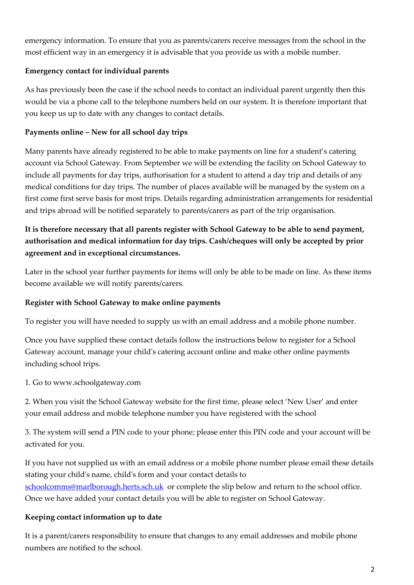emergency information. To ensure that you as parents/carers receive messages from the school in the most efficient way in an emergency it is advisable that you provide us with a mobile number.

## **Emergency contact for individual parents**

As has previously been the case if the school needs to contact an individual parent urgently then this would be via a phone call to the telephone numbers held on our system. It is therefore important that you keep us up to date with any changes to contact details.

# **Payments online – New for all school day trips**

Many parents have already registered to be able to make payments on line for a student's catering account via School Gateway. From September we will be extending the facility on School Gateway to include all payments for day trips, authorisation for a student to attend a day trip and details of any medical conditions for day trips. The number of places available will be managed by the system on a first come first serve basis for most trips. Details regarding administration arrangements for residential and trips abroad will be notified separately to parents/carers as part of the trip organisation.

# **It is therefore necessary that all parents register with School Gateway to be able to send payment, authorisation and medical information for day trips. Cash/cheques will only be accepted by prior agreement and in exceptional circumstances.**

Later in the school year further payments for items will only be able to be made on line. As these items become available we will notify parents/carers.

# **Register with School Gateway to make online payments**

To register you will have needed to supply us with an email address and a mobile phone number.

Once you have supplied these contact details follow the instructions below to register for a School Gateway account, manage your child's catering account online and make other online payments including school trips.

1. Go to www.schoolgateway.com

2. When you visit the School Gateway website for the first time, please select 'New User' and enter your email address and mobile telephone number you have registered with the school

3. The system will send a PIN code to your phone; please enter this PIN code and your account will be activated for you.

If you have not supplied us with an email address or a mobile phone number please email these details stating your child's name, child's form and your contact details to [schoolcomms@marlborough.herts.sch.uk](mailto:schoolcomms@marlborough.herts.sch.uk) or complete the slip below and return to the school office. Once we have added your contact details you will be able to register on School Gateway.

# **Keeping contact information up to date**

It is a parent/carers responsibility to ensure that changes to any email addresses and mobile phone numbers are notified to the school.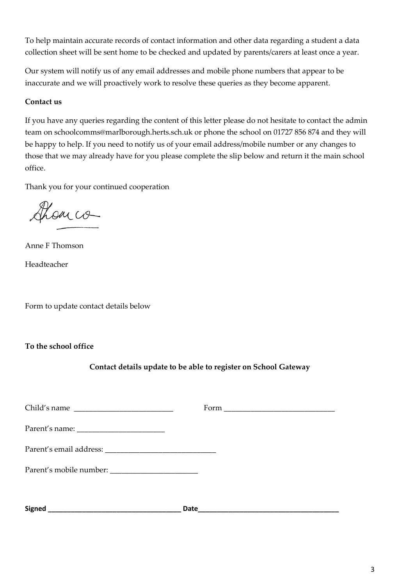To help maintain accurate records of contact information and other data regarding a student a data collection sheet will be sent home to be checked and updated by parents/carers at least once a year.

Our system will notify us of any email addresses and mobile phone numbers that appear to be inaccurate and we will proactively work to resolve these queries as they become apparent.

#### **Contact us**

If you have any queries regarding the content of this letter please do not hesitate to contact the admin team on schoolcomms@marlborough.herts.sch.uk or phone the school on 01727 856 874 and they will be happy to help. If you need to notify us of your email address/mobile number or any changes to those that we may already have for you please complete the slip below and return it the main school office.

Thank you for your continued cooperation

Show co

Anne F Thomson Headteacher

Form to update contact details below

**To the school office**

## **Contact details update to be able to register on School Gateway**

| Child's name  |      |
|---------------|------|
|               |      |
|               |      |
|               |      |
|               |      |
| <b>Signed</b> | Date |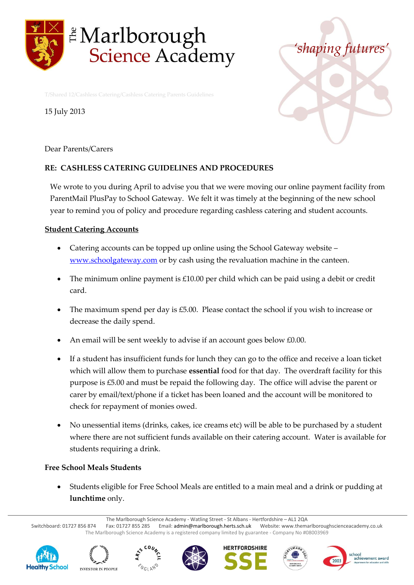

T/Shared 12/Cashless Catering/Cashless Catering Parents Guidelines

15 July 2013



Dear Parents/Carers

#### **RE: CASHLESS CATERING GUIDELINES AND PROCEDURES**

We wrote to you during April to advise you that we were moving our online payment facility from ParentMail PlusPay to School Gateway. We felt it was timely at the beginning of the new school year to remind you of policy and procedure regarding cashless catering and student accounts.

#### **Student Catering Accounts**

- Catering accounts can be topped up online using the School Gateway website [www.schoolgateway.com](http://www.schoolgateway.com/) or by cash using the revaluation machine in the canteen.
- The minimum online payment is £10.00 per child which can be paid using a debit or credit card.
- The maximum spend per day is £5.00. Please contact the school if you wish to increase or decrease the daily spend.
- An email will be sent weekly to advise if an account goes below £0.00.
- If a student has insufficient funds for lunch they can go to the office and receive a loan ticket which will allow them to purchase **essential** food for that day. The overdraft facility for this purpose is £5.00 and must be repaid the following day. The office will advise the parent or carer by email/text/phone if a ticket has been loaned and the account will be monitored to check for repayment of monies owed.
- No unessential items (drinks, cakes, ice creams etc) will be able to be purchased by a student where there are not sufficient funds available on their catering account. Water is available for students requiring a drink.

#### **Free School Meals Students**

 Students eligible for Free School Meals are entitled to a main meal and a drink or pudding at **lunchtime** only.

The Marlborough Science Academy - Watling Street - St Albans - Hertfordshire – AL1 2QA

Switchboard: 01727 856 874 Fax: 01727 855 285 Email: admin@marlborough.herts.sch.uk Website: www.themarlboroughscienceacademy.co.uk The Marlborough Science Academy is a registered company limited by guarantee - Company No #08003969